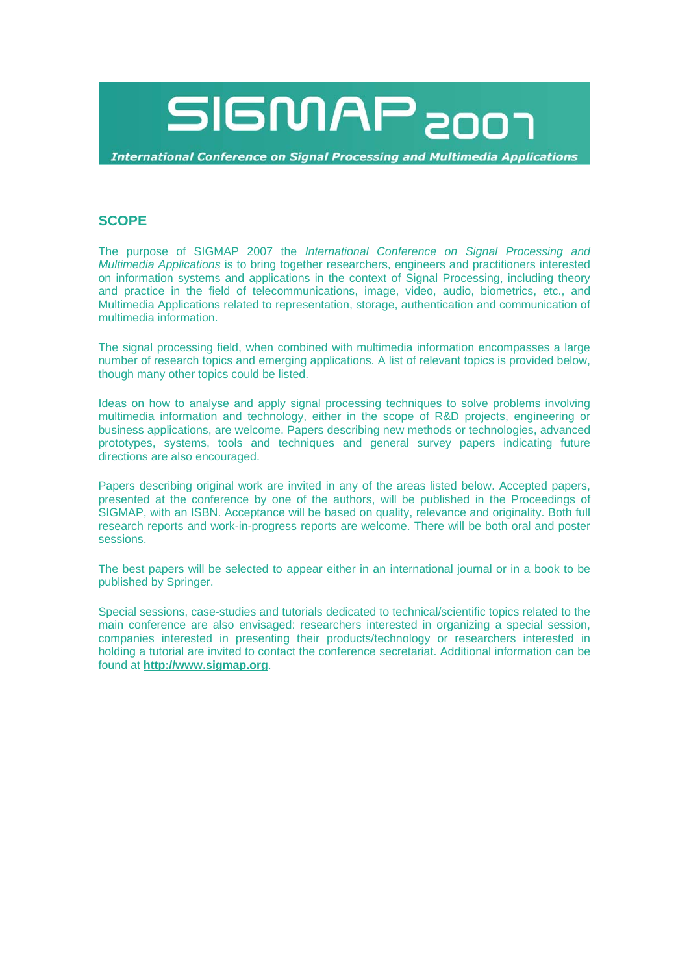

**International Conference on Signal Processing and Multimedia Applications** 

# **SCOPE**

The purpose of SIGMAP 2007 the *International Conference on Signal Processing and Multimedia Applications* is to bring together researchers, engineers and practitioners interested on information systems and applications in the context of Signal Processing, including theory and practice in the field of telecommunications, image, video, audio, biometrics, etc., and Multimedia Applications related to representation, storage, authentication and communication of multimedia information.

The signal processing field, when combined with multimedia information encompasses a large number of research topics and emerging applications. A list of relevant topics is provided below, though many other topics could be listed.

Ideas on how to analyse and apply signal processing techniques to solve problems involving multimedia information and technology, either in the scope of R&D projects, engineering or business applications, are welcome. Papers describing new methods or technologies, advanced prototypes, systems, tools and techniques and general survey papers indicating future directions are also encouraged.

Papers describing original work are invited in any of the areas listed below. Accepted papers, presented at the conference by one of the authors, will be published in the Proceedings of SIGMAP, with an ISBN. Acceptance will be based on quality, relevance and originality. Both full research reports and work-in-progress reports are welcome. There will be both oral and poster sessions.

The best papers will be selected to appear either in an international journal or in a book to be published by Springer.

Special sessions, case-studies and tutorials dedicated to technical/scientific topics related to the main conference are also envisaged: researchers interested in organizing a special session, companies interested in presenting their products/technology or researchers interested in holding a tutorial are invited to contact the conference secretariat. Additional information can be found at **http://www.sigmap.org**.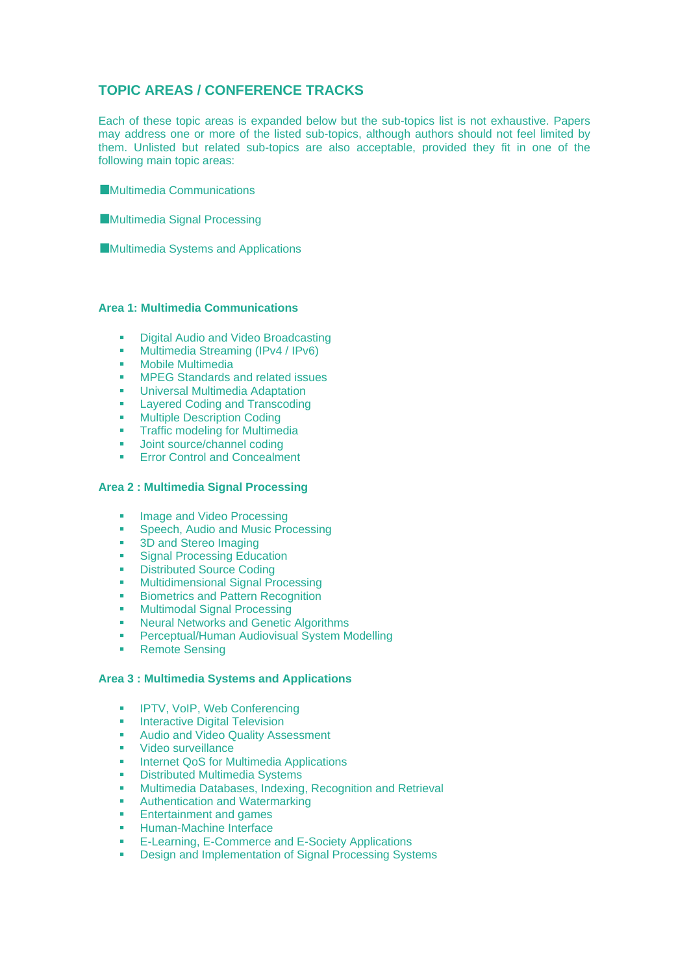# **TOPIC AREAS / CONFERENCE TRACKS**

Each of these topic areas is expanded below but the sub-topics list is not exhaustive. Papers may address one or more of the listed sub-topics, although authors should not feel limited by them. Unlisted but related sub-topics are also acceptable, provided they fit in one of the following main topic areas:

**Multimedia Communications** 

**Multimedia Signal Processing** 

■Multimedia Systems and Applications

#### **Area 1: Multimedia Communications**

- Digital Audio and Video Broadcasting
- Multimedia Streaming (IPv4 / IPv6)
- **Mobile Multimedia**
- **NPEG Standards and related issues**
- **Universal Multimedia Adaptation**
- **Layered Coding and Transcoding**
- **Multiple Description Coding**
- **Traffic modeling for Multimedia**
- **Joint source/channel coding**
- **Error Control and Concealment**

#### **Area 2 : Multimedia Signal Processing**

- **Image and Video Processing**
- Speech, Audio and Music Processing
- 3D and Stereo Imaging
- **Signal Processing Education**
- **•** Distributed Source Coding
- **Multidimensional Signal Processing**
- **Biometrics and Pattern Recognition**
- **Multimodal Signal Processing**
- **Neural Networks and Genetic Algorithms**
- **Perceptual/Human Audiovisual System Modelling**
- **Remote Sensing**

#### **Area 3 : Multimedia Systems and Applications**

- **IPTV, VoIP, Web Conferencing**
- **Interactive Digital Television**<br>**Audio and Video Quality Ass**
- Audio and Video Quality Assessment
- **Video surveillance**
- **Internet QoS for Multimedia Applications**
- **Distributed Multimedia Systems**
- **Multimedia Databases, Indexing, Recognition and Retrieval**
- **Authentication and Watermarking**
- **Entertainment and games**
- **Human-Machine Interface**
- **E-Learning, E-Commerce and E-Society Applications**
- Design and Implementation of Signal Processing Systems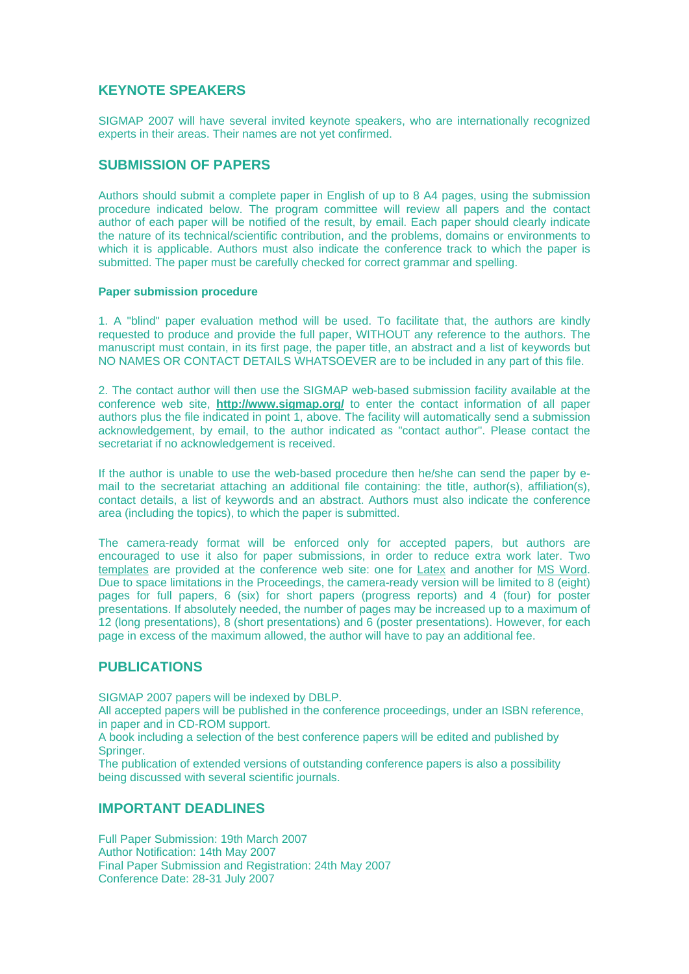# **KEYNOTE SPEAKERS**

SIGMAP 2007 will have several invited keynote speakers, who are internationally recognized experts in their areas. Their names are not yet confirmed.

### **SUBMISSION OF PAPERS**

Authors should submit a complete paper in English of up to 8 A4 pages, using the submission procedure indicated below. The program committee will review all papers and the contact author of each paper will be notified of the result, by email. Each paper should clearly indicate the nature of its technical/scientific contribution, and the problems, domains or environments to which it is applicable. Authors must also indicate the conference track to which the paper is submitted. The paper must be carefully checked for correct grammar and spelling.

#### **Paper submission procedure**

1. A "blind" paper evaluation method will be used. To facilitate that, the authors are kindly requested to produce and provide the full paper, WITHOUT any reference to the authors. The manuscript must contain, in its first page, the paper title, an abstract and a list of keywords but NO NAMES OR CONTACT DETAILS WHATSOEVER are to be included in any part of this file.

2. The contact author will then use the SIGMAP web-based submission facility available at the conference web site, **http://www.sigmap.org/** to enter the contact information of all paper authors plus the file indicated in point 1, above. The facility will automatically send a submission acknowledgement, by email, to the author indicated as "contact author". Please contact the secretariat if no acknowledgement is received.

If the author is unable to use the web-based procedure then he/she can send the paper by email to the secretariat attaching an additional file containing: the title, author(s), affiliation(s), contact details, a list of keywords and an abstract. Authors must also indicate the conference area (including the topics), to which the paper is submitted.

The camera-ready format will be enforced only for accepted papers, but authors are encouraged to use it also for paper submissions, in order to reduce extra work later. Two templates are provided at the conference web site: one for Latex and another for MS Word. Due to space limitations in the Proceedings, the camera-ready version will be limited to 8 (eight) pages for full papers, 6 (six) for short papers (progress reports) and 4 (four) for poster presentations. If absolutely needed, the number of pages may be increased up to a maximum of 12 (long presentations), 8 (short presentations) and 6 (poster presentations). However, for each page in excess of the maximum allowed, the author will have to pay an additional fee.

### **PUBLICATIONS**

SIGMAP 2007 papers will be indexed by DBLP.

All accepted papers will be published in the conference proceedings, under an ISBN reference, in paper and in CD-ROM support.

A book including a selection of the best conference papers will be edited and published by Springer.

The publication of extended versions of outstanding conference papers is also a possibility being discussed with several scientific journals.

# **IMPORTANT DEADLINES**

Full Paper Submission: 19th March 2007 Author Notification: 14th May 2007 Final Paper Submission and Registration: 24th May 2007 Conference Date: 28-31 July 2007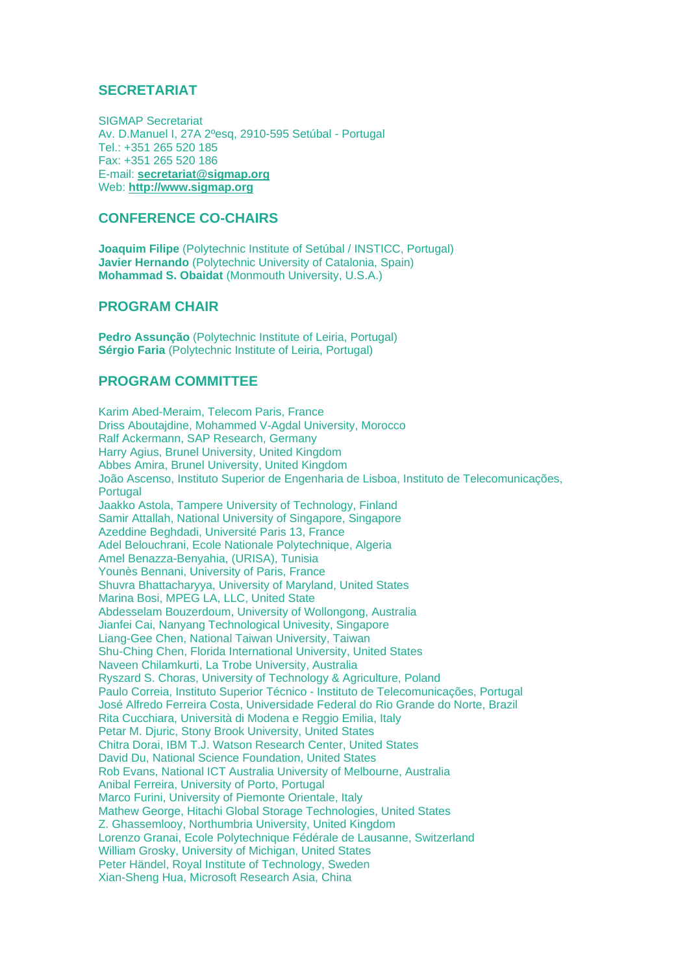### **SECRETARIAT**

SIGMAP Secretariat Av. D.Manuel I, 27A 2ºesq, 2910-595 Setúbal - Portugal Tel.: +351 265 520 185 Fax: +351 265 520 186 E-mail: **secretariat@sigmap.org** Web: **http://www.sigmap.org**

### **CONFERENCE CO-CHAIRS**

**Joaquim Filipe** (Polytechnic Institute of Setúbal / INSTICC, Portugal) **Javier Hernando** (Polytechnic University of Catalonia, Spain) **Mohammad S. Obaidat** (Monmouth University, U.S.A.)

### **PROGRAM CHAIR**

**Pedro Assunção** (Polytechnic Institute of Leiria, Portugal) **Sérgio Faria** (Polytechnic Institute of Leiria, Portugal)

# **PROGRAM COMMITTEE**

Karim Abed-Meraim, Telecom Paris, France Driss Aboutajdine, Mohammed V-Agdal University, Morocco Ralf Ackermann, SAP Research, Germany Harry Agius, Brunel University, United Kingdom Abbes Amira, Brunel University, United Kingdom João Ascenso, Instituto Superior de Engenharia de Lisboa, Instituto de Telecomunicações, **Portugal** Jaakko Astola, Tampere University of Technology, Finland Samir Attallah, National University of Singapore, Singapore Azeddine Beghdadi, Université Paris 13, France Adel Belouchrani, Ecole Nationale Polytechnique, Algeria Amel Benazza-Benyahia, (URISA), Tunisia Younès Bennani, University of Paris, France Shuvra Bhattacharyya, University of Maryland, United States Marina Bosi, MPEG LA, LLC, United State Abdesselam Bouzerdoum, University of Wollongong, Australia Jianfei Cai, Nanyang Technological Univesity, Singapore Liang-Gee Chen, National Taiwan University, Taiwan Shu-Ching Chen, Florida International University, United States Naveen Chilamkurti, La Trobe University, Australia Ryszard S. Choras, University of Technology & Agriculture, Poland Paulo Correia, Instituto Superior Técnico - Instituto de Telecomunicações, Portugal José Alfredo Ferreira Costa, Universidade Federal do Rio Grande do Norte, Brazil Rita Cucchiara, Università di Modena e Reggio Emilia, Italy Petar M. Diuric, Stony Brook University, United States Chitra Dorai, IBM T.J. Watson Research Center, United States David Du, National Science Foundation, United States Rob Evans, National ICT Australia University of Melbourne, Australia Anibal Ferreira, University of Porto, Portugal Marco Furini, University of Piemonte Orientale, Italy Mathew George, Hitachi Global Storage Technologies, United States Z. Ghassemlooy, Northumbria University, United Kingdom Lorenzo Granai, Ecole Polytechnique Fédérale de Lausanne, Switzerland William Grosky, University of Michigan, United States Peter Händel, Royal Institute of Technology, Sweden Xian-Sheng Hua, Microsoft Research Asia, China